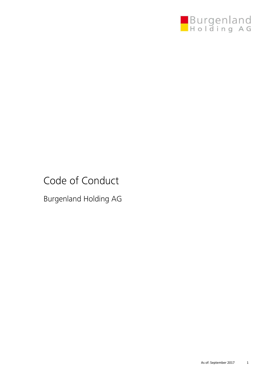

# Code of Conduct

Burgenland Holding AG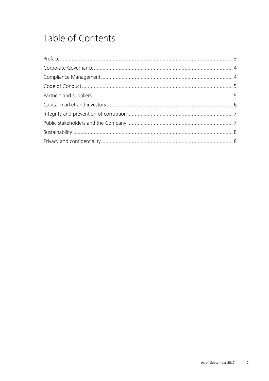# Table of Contents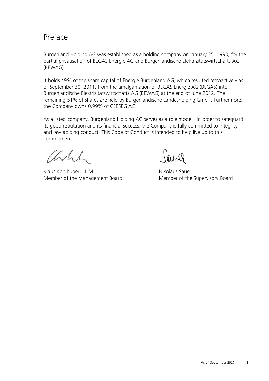#### Preface

Burgenland Holding AG was established as a holding company on January 25, 1990, for the partial privatisation of BEGAS Energie AG and Burgenländische Elektrizitätswirtschafts-AG (BEWAG).

It holds 49% of the share capital of Energie Burgenland AG, which resulted retroactively as of September 30, 2011, from the amalgamation of BEGAS Energie AG (BEGAS) into Burgenländische Elektrizitätswirtschafts-AG (BEWAG) at the end of June 2012. The remaining 51% of shares are held by Burgenländische Landesholding GmbH. Furthermore, the Company owns 0.99% of CEESEG AG.

As a listed company, Burgenland Holding AG serves as a role model. In order to safeguard its good reputation and its financial success, the Company is fully committed to integrity and law-abiding conduct. This Code of Conduct is intended to help live up to this commitment.

Which

Klaus Kohlhuber, LL.M. Nikolaus Sauer Member of the Management Board Member of the Supervisory Board

aues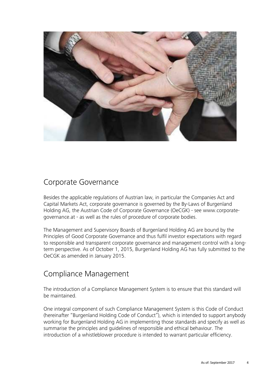

## Corporate Governance

Besides the applicable regulations of Austrian law, in particular the Companies Act and Capital Markets Act, corporate governance is governed by the By-Laws of Burgenland Holding AG, the Austrian Code of Corporate Governance (OeCGK) - see www.corporategovernance.at - as well as the rules of procedure of corporate bodies.

The Management and Supervisory Boards of Burgenland Holding AG are bound by the Principles of Good Corporate Governance and thus fulfil investor expectations with regard to responsible and transparent corporate governance and management control with a longterm perspective. As of October 1, 2015, Burgenland Holding AG has fully submitted to the OeCGK as amended in January 2015.

## Compliance Management

The introduction of a Compliance Management System is to ensure that this standard will be maintained.

One integral component of such Compliance Management System is this Code of Conduct (hereinafter "Burgenland Holding Code of Conduct"), which is intended to support anybody working for Burgenland Holding AG in implementing those standards and specify as well as summarise the principles and guidelines of responsible and ethical behaviour. The introduction of a whistleblower procedure is intended to warrant particular efficiency.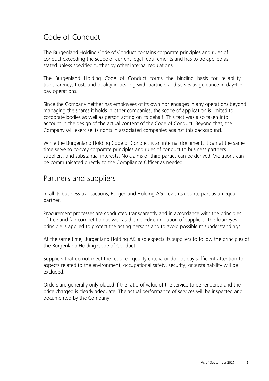## Code of Conduct

The Burgenland Holding Code of Conduct contains corporate principles and rules of conduct exceeding the scope of current legal requirements and has to be applied as stated unless specified further by other internal regulations.

The Burgenland Holding Code of Conduct forms the binding basis for reliability, transparency, trust, and quality in dealing with partners and serves as guidance in day-today operations.

Since the Company neither has employees of its own nor engages in any operations beyond managing the shares it holds in other companies, the scope of application is limited to corporate bodies as well as person acting on its behalf. This fact was also taken into account in the design of the actual content of the Code of Conduct. Beyond that, the Company will exercise its rights in associated companies against this background.

While the Burgenland Holding Code of Conduct is an internal document, it can at the same time serve to convey corporate principles and rules of conduct to business partners, suppliers, and substantial interests. No claims of third parties can be derived. Violations can be communicated directly to the Compliance Officer as needed.

#### Partners and suppliers

In all its business transactions, Burgenland Holding AG views its counterpart as an equal partner.

Procurement processes are conducted transparently and in accordance with the principles of free and fair competition as well as the non-discrimination of suppliers. The four-eyes principle is applied to protect the acting persons and to avoid possible misunderstandings.

At the same time, Burgenland Holding AG also expects its suppliers to follow the principles of the Burgenland Holding Code of Conduct.

Suppliers that do not meet the required quality criteria or do not pay sufficient attention to aspects related to the environment, occupational safety, security, or sustainability will be excluded.

Orders are generally only placed if the ratio of value of the service to be rendered and the price charged is clearly adequate. The actual performance of services will be inspected and documented by the Company.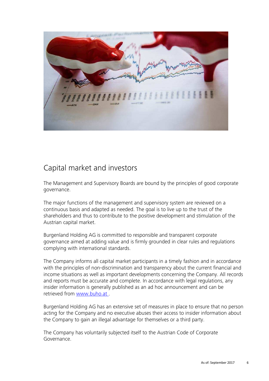

## Capital market and investors

The Management and Supervisory Boards are bound by the principles of good corporate governance.

The major functions of the management and supervisory system are reviewed on a continuous basis and adapted as needed. The goal is to live up to the trust of the shareholders and thus to contribute to the positive development and stimulation of the Austrian capital market.

Burgenland Holding AG is committed to responsible and transparent corporate governance aimed at adding value and is firmly grounded in clear rules and regulations complying with international standards.

The Company informs all capital market participants in a timely fashion and in accordance with the principles of non-discrimination and transparency about the current financial and income situations as well as important developments concerning the Company. All records and reports must be accurate and complete. In accordance with legal regulations, any insider information is generally published as an ad hoc announcement and can be retrieved from www.buho.at.

Burgenland Holding AG has an extensive set of measures in place to ensure that no person acting for the Company and no executive abuses their access to insider information about the Company to gain an illegal advantage for themselves or a third party.

The Company has voluntarily subjected itself to the Austrian Code of Corporate Governance.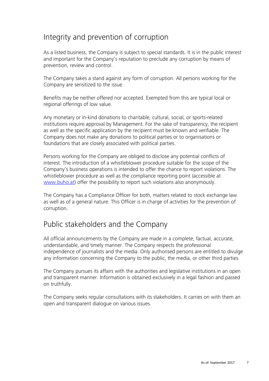# Integrity and prevention of corruption

As a listed business, the Company is subject to special standards. It is in the public interest and important for the Company's reputation to preclude any corruption by means of prevention, review and control.

The Company takes a stand against any form of corruption. All persons working for the Company are sensitized to the issue.

Benefits may be neither offered nor accepted. Exempted from this are typical local or regional offerings of low value.

Any monetary or in-kind donations to charitable, cultural, social, or sports-related institutions require approval by Management. For the sake of transparency, the recipient as well as the specific application by the recipient must be known and verifiable. The Company does not make any donations to political parties or to organisations or foundations that are closely associated with political parties.

Persons working for the Company are obliged to disclose any potential conflicts of interest. The introduction of a whistleblower procedure suitable for the scope of the Company's business operations is intended to offer the chance to report violations. The whistleblower procedure as well as the compliance reporting point (accessible at www.buho.at) offer the possibility to report such violations also anonymously.

The Company has a Compliance Officer for both, matters related to stock exchange law as well as of a general nature. This Officer is in charge of activities for the prevention of corruption.

## Public stakeholders and the Company

All official announcements by the Company are made in a complete, factual, accurate, understandable, and timely manner. The Company respects the professional independence of journalists and the media. Only authorised persons are entitled to divulge any information concerning the Company to the public, the media, or other third parties.

The Company pursues its affairs with the authorities and legislative institutions in an open and transparent manner. Information is obtained exclusively in a legal fashion and passed on truthfully.

The Company seeks regular consultations with its stakeholders. It carries on with them an open and transparent dialogue on various issues.